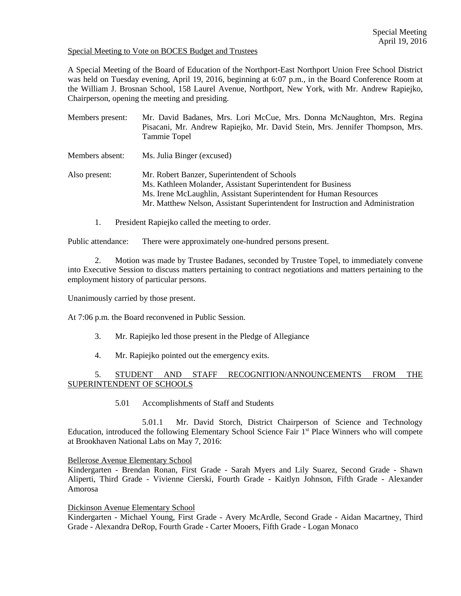# Special Meeting to Vote on BOCES Budget and Trustees

A Special Meeting of the Board of Education of the Northport-East Northport Union Free School District was held on Tuesday evening, April 19, 2016, beginning at 6:07 p.m., in the Board Conference Room at the William J. Brosnan School, 158 Laurel Avenue, Northport, New York, with Mr. Andrew Rapiejko, Chairperson, opening the meeting and presiding.

- Members present: Mr. David Badanes, Mrs. Lori McCue, Mrs. Donna McNaughton, Mrs. Regina Pisacani, Mr. Andrew Rapiejko, Mr. David Stein, Mrs. Jennifer Thompson, Mrs. Tammie Topel Members absent: Ms. Julia Binger (excused) Also present: Mr. Robert Banzer, Superintendent of Schools Ms. Kathleen Molander, Assistant Superintendent for Business Ms. Irene McLaughlin, Assistant Superintendent for Human Resources Mr. Matthew Nelson, Assistant Superintendent for Instruction and Administration
	- 1. President Rapiejko called the meeting to order.

Public attendance: There were approximately one-hundred persons present.

2. Motion was made by Trustee Badanes, seconded by Trustee Topel, to immediately convene into Executive Session to discuss matters pertaining to contract negotiations and matters pertaining to the employment history of particular persons.

Unanimously carried by those present.

At 7:06 p.m. the Board reconvened in Public Session.

- 3. Mr. Rapiejko led those present in the Pledge of Allegiance
- 4. Mr. Rapiejko pointed out the emergency exits.

# 5. STUDENT AND STAFF RECOGNITION/ANNOUNCEMENTS FROM THE SUPERINTENDENT OF SCHOOLS

5.01 Accomplishments of Staff and Students

5.01.1 Mr. David Storch, District Chairperson of Science and Technology Education, introduced the following Elementary School Science Fair 1st Place Winners who will compete at Brookhaven National Labs on May 7, 2016:

#### Bellerose Avenue Elementary School

Kindergarten - Brendan Ronan, First Grade - Sarah Myers and Lily Suarez, Second Grade - Shawn Aliperti, Third Grade - Vivienne Cierski, Fourth Grade - Kaitlyn Johnson, Fifth Grade - Alexander Amorosa

Dickinson Avenue Elementary School

Kindergarten - Michael Young, First Grade - Avery McArdle, Second Grade - Aidan Macartney, Third Grade - Alexandra DeRop, Fourth Grade - Carter Mooers, Fifth Grade - Logan Monaco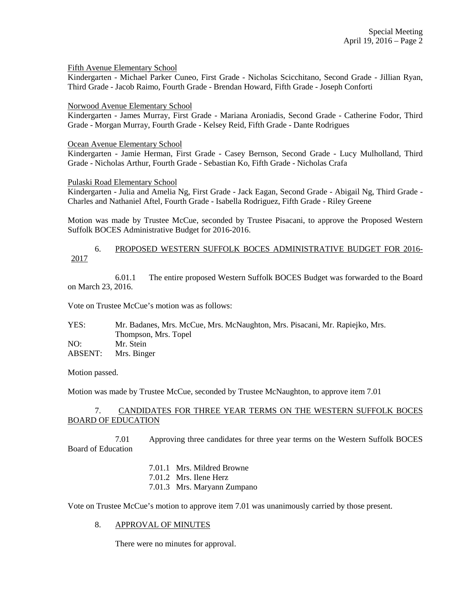### Fifth Avenue Elementary School

Kindergarten - Michael Parker Cuneo, First Grade - Nicholas Scicchitano, Second Grade - Jillian Ryan, Third Grade - Jacob Raimo, Fourth Grade - Brendan Howard, Fifth Grade - Joseph Conforti

#### Norwood Avenue Elementary School

Kindergarten - James Murray, First Grade - Mariana Aroniadis, Second Grade - Catherine Fodor, Third Grade - Morgan Murray, Fourth Grade - Kelsey Reid, Fifth Grade - Dante Rodrigues

#### Ocean Avenue Elementary School

Kindergarten - Jamie Herman, First Grade - Casey Bernson, Second Grade - Lucy Mulholland, Third Grade - Nicholas Arthur, Fourth Grade - Sebastian Ko, Fifth Grade - Nicholas Crafa

### Pulaski Road Elementary School

Kindergarten - Julia and Amelia Ng, First Grade - Jack Eagan, Second Grade - Abigail Ng, Third Grade - Charles and Nathaniel Aftel, Fourth Grade - Isabella Rodriguez, Fifth Grade - Riley Greene

Motion was made by Trustee McCue, seconded by Trustee Pisacani, to approve the Proposed Western Suffolk BOCES Administrative Budget for 2016-2016.

## 6. PROPOSED WESTERN SUFFOLK BOCES ADMINISTRATIVE BUDGET FOR 2016- 2017

 6.01.1 The entire proposed Western Suffolk BOCES Budget was forwarded to the Board on March 23, 2016.

Vote on Trustee McCue's motion was as follows:

| YES:    | Mr. Badanes, Mrs. McCue, Mrs. McNaughton, Mrs. Pisacani, Mr. Rapiejko, Mrs. |
|---------|-----------------------------------------------------------------------------|
|         | Thompson, Mrs. Topel                                                        |
| NO:     | Mr. Stein                                                                   |
| ABSENT: | Mrs. Binger                                                                 |

Motion passed.

Motion was made by Trustee McCue, seconded by Trustee McNaughton, to approve item 7.01

## 7. CANDIDATES FOR THREE YEAR TERMS ON THE WESTERN SUFFOLK BOCES BOARD OF EDUCATION

7.01 Approving three candidates for three year terms on the Western Suffolk BOCES Board of Education

7.01.1 Mrs. Mildred Browne

- 7.01.2 Mrs. Ilene Herz
- 7.01.3 Mrs. Maryann Zumpano

Vote on Trustee McCue's motion to approve item 7.01 was unanimously carried by those present.

## 8. APPROVAL OF MINUTES

There were no minutes for approval.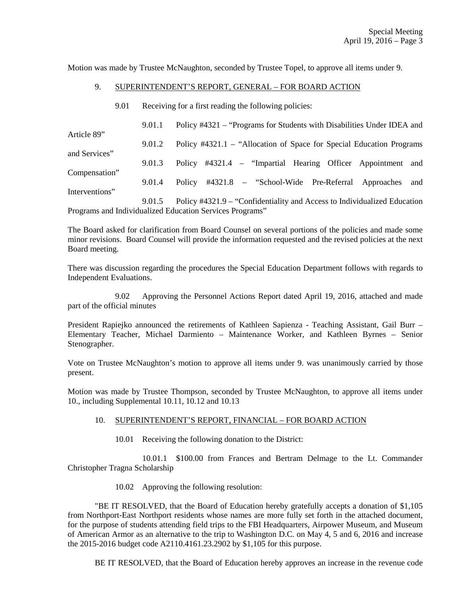Motion was made by Trustee McNaughton, seconded by Trustee Topel, to approve all items under 9.

# 9. SUPERINTENDENT'S REPORT, GENERAL – FOR BOARD ACTION

9.01 Receiving for a first reading the following policies:

|                | 9.01.1 | Policy #4321 – "Programs for Students with Disabilities Under IDEA and   |
|----------------|--------|--------------------------------------------------------------------------|
| Article 89"    | 9.01.2 | Policy #4321.1 – "Allocation of Space for Special Education Programs"    |
| and Services"  | 9.01.3 | Policy #4321.4 – "Impartial Hearing Officer Appointment and              |
| Compensation"  | 9.01.4 | Policy #4321.8 – "School-Wide Pre-Referral Approaches<br>and             |
| Interventions" |        |                                                                          |
|                | 9.01.5 | Policy #4321.9 – "Confidentiality and Access to Individualized Education |
|                |        | Programs and Individualized Education Services Programs"                 |

The Board asked for clarification from Board Counsel on several portions of the policies and made some minor revisions. Board Counsel will provide the information requested and the revised policies at the next Board meeting.

There was discussion regarding the procedures the Special Education Department follows with regards to Independent Evaluations.

 9.02 Approving the Personnel Actions Report dated April 19, 2016, attached and made part of the official minutes

President Rapiejko announced the retirements of Kathleen Sapienza - Teaching Assistant, Gail Burr – Elementary Teacher, Michael Darmiento – Maintenance Worker, and Kathleen Byrnes – Senior Stenographer.

Vote on Trustee McNaughton's motion to approve all items under 9. was unanimously carried by those present.

Motion was made by Trustee Thompson, seconded by Trustee McNaughton, to approve all items under 10., including Supplemental 10.11, 10.12 and 10.13

#### 10. SUPERINTENDENT'S REPORT, FINANCIAL – FOR BOARD ACTION

10.01 Receiving the following donation to the District:

 10.01.1 \$100.00 from Frances and Bertram Delmage to the Lt. Commander Christopher Tragna Scholarship

10.02 Approving the following resolution:

 "BE IT RESOLVED, that the Board of Education hereby gratefully accepts a donation of \$1,105 from Northport-East Northport residents whose names are more fully set forth in the attached document, for the purpose of students attending field trips to the FBI Headquarters, Airpower Museum, and Museum of American Armor as an alternative to the trip to Washington D.C. on May 4, 5 and 6, 2016 and increase the 2015-2016 budget code A2110.4161.23.2902 by \$1,105 for this purpose.

BE IT RESOLVED, that the Board of Education hereby approves an increase in the revenue code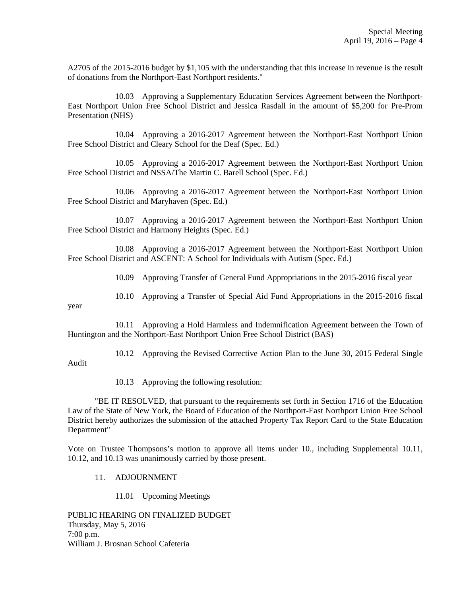A2705 of the 2015-2016 budget by \$1,105 with the understanding that this increase in revenue is the result of donations from the Northport-East Northport residents."

 10.03 Approving a Supplementary Education Services Agreement between the Northport-East Northport Union Free School District and Jessica Rasdall in the amount of \$5,200 for Pre-Prom Presentation (NHS)

 10.04 Approving a 2016-2017 Agreement between the Northport-East Northport Union Free School District and Cleary School for the Deaf (Spec. Ed.)

 10.05 Approving a 2016-2017 Agreement between the Northport-East Northport Union Free School District and NSSA/The Martin C. Barell School (Spec. Ed.)

 10.06 Approving a 2016-2017 Agreement between the Northport-East Northport Union Free School District and Maryhaven (Spec. Ed.)

 10.07 Approving a 2016-2017 Agreement between the Northport-East Northport Union Free School District and Harmony Heights (Spec. Ed.)

 10.08 Approving a 2016-2017 Agreement between the Northport-East Northport Union Free School District and ASCENT: A School for Individuals with Autism (Spec. Ed.)

10.09 Approving Transfer of General Fund Appropriations in the 2015-2016 fiscal year

10.10 Approving a Transfer of Special Aid Fund Appropriations in the 2015-2016 fiscal

year

 10.11 Approving a Hold Harmless and Indemnification Agreement between the Town of Huntington and the Northport-East Northport Union Free School District (BAS)

 10.12 Approving the Revised Corrective Action Plan to the June 30, 2015 Federal Single Audit

10.13 Approving the following resolution:

 "BE IT RESOLVED, that pursuant to the requirements set forth in Section 1716 of the Education Law of the State of New York, the Board of Education of the Northport-East Northport Union Free School District hereby authorizes the submission of the attached Property Tax Report Card to the State Education Department"

Vote on Trustee Thompsons's motion to approve all items under 10., including Supplemental 10.11, 10.12, and 10.13 was unanimously carried by those present.

- 11. ADJOURNMENT
	- 11.01 Upcoming Meetings

PUBLIC HEARING ON FINALIZED BUDGET Thursday, May 5, 2016 7:00 p.m. William J. Brosnan School Cafeteria